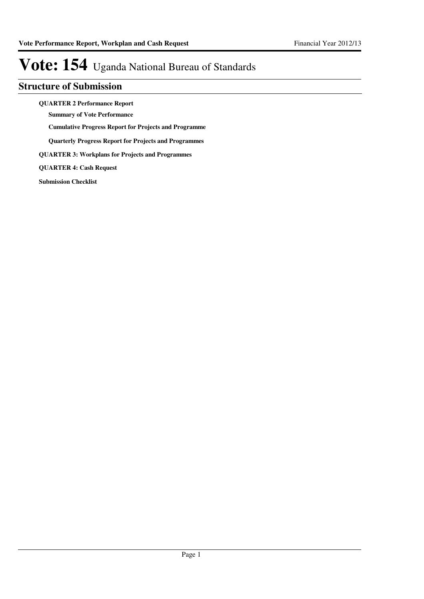## **Structure of Submission**

**QUARTER 2 Performance Report**

**Summary of Vote Performance**

**Cumulative Progress Report for Projects and Programme**

**Quarterly Progress Report for Projects and Programmes**

**QUARTER 3: Workplans for Projects and Programmes**

**QUARTER 4: Cash Request**

**Submission Checklist**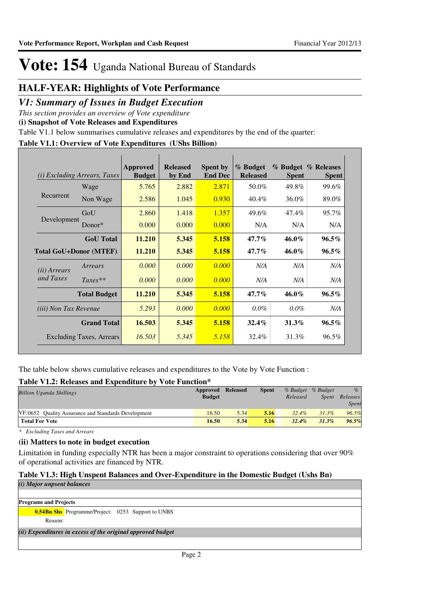## **HALF-YEAR: Highlights of Vote Performance**

## *V1: Summary of Issues in Budget Execution*

*This section provides an overview of Vote expenditure* 

**(i) Snapshot of Vote Releases and Expenditures**

Table V1.1 below summarises cumulative releases and expenditures by the end of the quarter:

## **Table V1.1: Overview of Vote Expenditures (UShs Billion)**

| (i)                           | <i>Excluding Arrears, Taxes</i> | Approved<br><b>Budget</b> | <b>Released</b><br>by End | <b>Spent by</b><br><b>End Dec</b> | % Budget<br><b>Released</b> | <b>Spent</b> | % Budget % Releases<br><b>Spent</b> |
|-------------------------------|---------------------------------|---------------------------|---------------------------|-----------------------------------|-----------------------------|--------------|-------------------------------------|
| Recurrent                     | Wage                            | 5.765                     | 2.882                     | 2.871                             | 50.0%                       | 49.8%        | 99.6%                               |
|                               | Non Wage                        | 2.586                     | 1.045                     | 0.930                             | 40.4%                       | 36.0%        | 89.0%                               |
| Development                   | GoU                             | 2.860                     | 1.418                     | 1.357                             | 49.6%                       | 47.4%        | 95.7%                               |
|                               | Donor $*$                       | 0.000                     | 0.000                     | 0.000                             | N/A                         | N/A          | N/A                                 |
|                               | <b>GoU</b> Total                | 11.210                    | 5.345                     | 5.158                             | $47.7\%$                    | $46.0\%$     | $96.5\%$                            |
| <b>Total GoU+Donor (MTEF)</b> |                                 | 11.210                    | 5.345                     | 5.158                             | $47.7\%$                    | 46.0%        | $96.5\%$                            |
| ( <i>ii</i> ) Arrears         | Arrears                         | 0.000                     | 0.000                     | 0.000                             | N/A                         | N/A          | N/A                                 |
| and Taxes                     | $Taxes**$                       | 0.000                     | 0.000                     | 0.000                             | N/A                         | N/A          | N/A                                 |
|                               | <b>Total Budget</b>             | 11.210                    | 5.345                     | 5.158                             | $47.7\%$                    | $46.0\%$     | $96.5\%$                            |
| (iii) Non Tax Revenue         |                                 | 5.293                     | 0.000                     | 0.000                             | $0.0\%$                     | $0.0\%$      | N/A                                 |
|                               | <b>Grand Total</b>              | 16.503                    | 5.345                     | 5.158                             | $32.4\%$                    | $31.3\%$     | $96.5\%$                            |
|                               | Excluding Taxes, Arrears        | 16.503                    | 5.345                     | 5.158                             | 32.4%                       | 31.3%        | 96.5%                               |

The table below shows cumulative releases and expenditures to the Vote by Vote Function :

## **Table V1.2: Releases and Expenditure by Vote Function\***

| <b>Billion Uganda Shillings</b>                     | Approved      | <b>Released</b> | <b>Spent</b> |          | % Budget % Budget | $\%$         |
|-----------------------------------------------------|---------------|-----------------|--------------|----------|-------------------|--------------|
|                                                     | <b>Budget</b> |                 |              | Released | <i>Spent</i>      | Releases     |
|                                                     |               |                 |              |          |                   | <b>Spent</b> |
| VF:0652 Ouality Assurance and Standards Development | 16.50         | 5.34            | 5.16         | $32.4\%$ | $31.3\%$          | 96.5%        |
| <b>Total For Vote</b>                               | 16.50         | 5.34            | 5.16         | $32.4\%$ | 31.3%             | 96.5%        |

*\* Excluding Taxes and Arrears*

## **(ii) Matters to note in budget execution**

Limitation in funding especially NTR has been a major constraint to operations considering that over 90% of operational activities are financed by NTR.

## **Table V1.3: High Unspent Balances and Over-Expenditure in the Domestic Budget (Ushs Bn)**

| (i) Major unpsent balances                                  |  |
|-------------------------------------------------------------|--|
|                                                             |  |
| <b>Programs and Projects</b>                                |  |
| <b>0.54Bn Shs</b> Programme/Project: 0253 Support to UNBS   |  |
| Reason:                                                     |  |
| (ii) Expenditures in excess of the original approved budget |  |
|                                                             |  |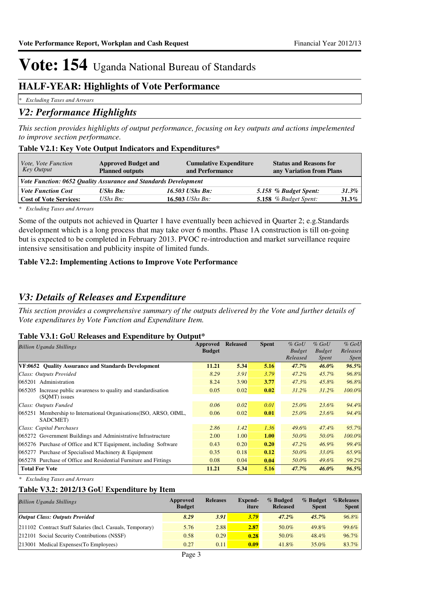## **HALF-YEAR: Highlights of Vote Performance**

*\* Excluding Taxes and Arrears*

## *V2: Performance Highlights*

*This section provides highlights of output performance, focusing on key outputs and actions impelemented to improve section performance.*

## **Table V2.1: Key Vote Output Indicators and Expenditures\***

| Vote, Vote Function<br>Key Output                               | <b>Approved Budget and</b><br><b>Planned outputs</b> | <b>Cumulative Expenditure</b><br>and Performance | <b>Status and Reasons for</b><br>any Variation from Plans |          |  |  |
|-----------------------------------------------------------------|------------------------------------------------------|--------------------------------------------------|-----------------------------------------------------------|----------|--|--|
| Vote Function: 0652 Quality Assurance and Standards Development |                                                      |                                                  |                                                           |          |  |  |
| <b>Vote Function Cost</b>                                       | <b>UShs Bn:</b>                                      | 16.503 UShs Bn:                                  | 5.158 % Budget Spent:                                     | 31.3%    |  |  |
| <b>Cost of Vote Services:</b>                                   | $\mathit{UShs}\, \mathit{Bn}$ :                      | 16.503 <i>UShs Bn</i> :                          | 5.158 $%$ Budget Spent:                                   | $31.3\%$ |  |  |

*\* Excluding Taxes and Arrears*

Some of the outputs not achieved in Quarter 1 have eventually been achieved in Quarter 2; e.g.Standards development which is a long process that may take over 6 months. Phase 1A construction is till on-going but is expected to be completed in February 2013. PVOC re-introduction and market surveillance require intensive sensitisation and publicity inspite of limited funds.

## **Table V2.2: Implementing Actions to Improve Vote Performance**

## *V3: Details of Releases and Expenditure*

*This section provides a comprehensive summary of the outputs delivered by the Vote and further details of Vote expenditures by Vote Function and Expenditure Item.*

## **Table V3.1: GoU Releases and Expenditure by Output\***

| <b>Billion Uganda Shillings</b>                                                     | Approved      | <b>Released</b> | <b>Spent</b> | $%$ GoU       | $%$ GoU       | $%$ GoU     |
|-------------------------------------------------------------------------------------|---------------|-----------------|--------------|---------------|---------------|-------------|
|                                                                                     | <b>Budget</b> |                 |              | <b>Budget</b> | <b>Budget</b> | Releases    |
|                                                                                     |               |                 |              | Released      | Spent         | <i>Spen</i> |
| VF:0652 Ouality Assurance and Standards Development                                 | 11.21         | 5.34            | 5.16         | $47.7\%$      | $46.0\%$      | 96.5%       |
| Class: Outputs Provided                                                             | 8.29          | 3.91            | 3.79         | $47.2\%$      | 45.7%         | 96.8%       |
| 065201 Administration                                                               | 8.24          | 3.90            | 3.77         | $47.3\%$      | 45.8%         | 96.8%       |
| 065205<br>Increase public awareness to quality and standardisation<br>(SOMT) issues | 0.05          | 0.02            | 0.02         | $31.2\%$      | $31.2\%$      | 100.0%      |
| Class: Outputs Funded                                                               | 0.06          | 0.02            | 0.01         | $25.0\%$      | 23.6%         | 94.4%       |
| 065251 Membership to International Organisations (ISO, ARSO, OIML,<br>SADCMET)      | 0.06          | 0.02            | 0.01         | $25.0\%$      | 23.6%         | 94.4%       |
| Class: Capital Purchases                                                            | 2.86          | 1.42            | 1.36         | $49.6\%$      | 47.4%         | 95.7%       |
| 065272 Government Buildings and Administrative Infrastructure                       | 2.00          | 1.00            | 1.00         | 50.0%         | 50.0%         | 100.0%      |
| 065276 Purchase of Office and ICT Equipment, including Software                     | 0.43          | 0.20            | 0.20         | $47.2\%$      | 46.9%         | 99.4%       |
| 065277 Purchase of Specialised Machinery $&$ Equipment                              | 0.35          | 0.18            | 0.12         | 50.0%         | 33.0%         | 65.9%       |
| 065278 Purchase of Office and Residential Furniture and Fittings                    | 0.08          | 0.04            | 0.04         | 50.0%         | $49.6\%$      | 99.2%       |
| <b>Total For Vote</b>                                                               | 11.21         | 5.34            | 5.16         | 47.7%         | $46.0\%$      | 96.5%       |

*\* Excluding Taxes and Arrears*

## **Table V3.2: 2012/13 GoU Expenditure by Item**

| <b>Billion Uganda Shillings</b>                           | Approved<br><b>Budget</b> | <b>Releases</b> | Expend-<br>iture | % Budged<br><b>Released</b> | % Budget<br><b>Spent</b> | %Releases<br><b>Spent</b> |
|-----------------------------------------------------------|---------------------------|-----------------|------------------|-----------------------------|--------------------------|---------------------------|
| <b>Output Class: Outputs Provided</b>                     | 8.29                      | 3.91            | 3.79             | $47.2\%$                    | $45.7\%$                 | 96.8%                     |
| 211102 Contract Staff Salaries (Incl. Casuals, Temporary) | 5.76                      | 2.88            | 2.87             | 50.0%                       | 49.8%                    | 99.6%                     |
| 212101 Social Security Contributions (NSSF)               | 0.58                      | 0.29            | 0.28             | 50.0%                       | 48.4%                    | 96.7%                     |
| 213001 Medical Expenses (To Employees)                    | 0.27                      | 0.11            | 0.09             | 41.8%                       | $35.0\%$                 | 83.7%                     |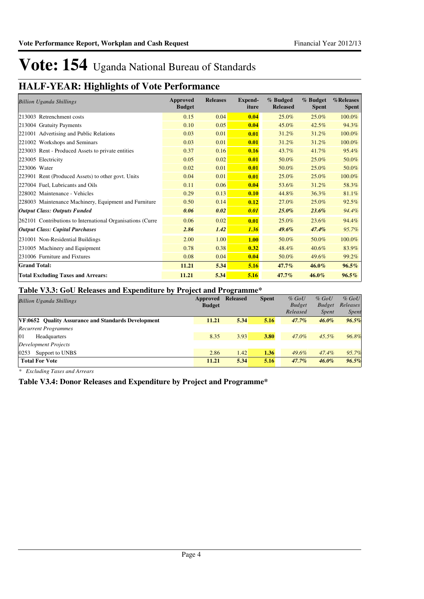# **HALF-YEAR: Highlights of Vote Performance**

| <b>Billion Uganda Shillings</b>                            | <b>Approved</b><br><b>Budget</b> | <b>Releases</b> | <b>Expend-</b><br>iture | % Budged<br><b>Released</b> | % Budget<br><b>Spent</b> | %Releases<br><b>Spent</b> |
|------------------------------------------------------------|----------------------------------|-----------------|-------------------------|-----------------------------|--------------------------|---------------------------|
| 213003 Retrenchment costs                                  | 0.15                             | 0.04            | 0.04                    | 25.0%                       | 25.0%                    | 100.0%                    |
| 213004 Gratuity Payments                                   | 0.10                             | 0.05            | 0.04                    | 45.0%                       | 42.5%                    | 94.3%                     |
| 221001 Advertising and Public Relations                    | 0.03                             | 0.01            | 0.01                    | 31.2%                       | 31.2%                    | 100.0%                    |
| 221002 Workshops and Seminars                              | 0.03                             | 0.01            | 0.01                    | 31.2%                       | 31.2%                    | 100.0%                    |
| 223003 Rent - Produced Assets to private entities          | 0.37                             | 0.16            | 0.16                    | 43.7%                       | 41.7%                    | 95.4%                     |
| 223005 Electricity                                         | 0.05                             | 0.02            | 0.01                    | 50.0%                       | 25.0%                    | 50.0%                     |
| 223006 Water                                               | 0.02                             | 0.01            | 0.01                    | 50.0%                       | 25.0%                    | 50.0%                     |
| 223901 Rent (Produced Assets) to other govt. Units         | 0.04                             | 0.01            | 0.01                    | 25.0%                       | 25.0%                    | 100.0%                    |
| 227004 Fuel, Lubricants and Oils                           | 0.11                             | 0.06            | 0.04                    | 53.6%                       | 31.2%                    | 58.3%                     |
| 228002 Maintenance - Vehicles                              | 0.29                             | 0.13            | 0.10                    | 44.8%                       | 36.3%                    | 81.1%                     |
| 228003 Maintenance Machinery, Equipment and Furniture      | 0.50                             | 0.14            | 0.12                    | 27.0%                       | 25.0%                    | 92.5%                     |
| <b>Output Class: Outputs Funded</b>                        | 0.06                             | 0.02            | 0.01                    | $25.0\%$                    | $23.6\%$                 | 94.4%                     |
| 262101 Contributions to International Organisations (Curre | 0.06                             | 0.02            | 0.01                    | 25.0%                       | 23.6%                    | 94.4%                     |
| <b>Output Class: Capital Purchases</b>                     | 2.86                             | 1.42            | 1.36                    | 49.6%                       | 47.4%                    | 95.7%                     |
| 231001 Non-Residential Buildings                           | 2.00                             | 1.00            | <b>1.00</b>             | 50.0%                       | 50.0%                    | 100.0%                    |
| 231005 Machinery and Equipment                             | 0.78                             | 0.38            | 0.32                    | 48.4%                       | 40.6%                    | 83.9%                     |
| 231006 Furniture and Fixtures                              | 0.08                             | 0.04            | 0.04                    | 50.0%                       | 49.6%                    | 99.2%                     |
| <b>Grand Total:</b>                                        | 11.21                            | 5.34            | 5.16                    | 47.7%                       | 46.0%                    | $96.5\%$                  |
| <b>Total Excluding Taxes and Arrears:</b>                  | 11.21                            | 5.34            | 5.16                    | 47.7%                       | 46.0%                    | $96.5\%$                  |

## **Table V3.3: GoU Releases and Expenditure by Project and Programme\***

|                                                            |               | -               |              |               |               |              |
|------------------------------------------------------------|---------------|-----------------|--------------|---------------|---------------|--------------|
| <b>Billion Uganda Shillings</b>                            | Approved      | <b>Released</b> | <b>Spent</b> | $%$ GoU       | $%$ GoU       | $%$ GoU      |
|                                                            | <b>Budget</b> |                 |              | <b>Budget</b> | <b>Budget</b> | Releases     |
|                                                            |               |                 |              | Released      | <i>Spent</i>  | <i>Spent</i> |
| <b>VF:0652 Ouality Assurance and Standards Development</b> | 11.21         | 5.34            | 5.16         | $47.7\%$      | $46.0\%$      | 96.5%        |
| <b>Recurrent Programmes</b>                                |               |                 |              |               |               |              |
| 01<br><b>Headquarters</b>                                  | 8.35          | 3.93            | 3.80         | 47.0%         | $45.5\%$      | 96.8%        |
| Development Projects                                       |               |                 |              |               |               |              |
| 0253<br>Support to UNBS                                    | 2.86          | 1.42            | 1.36         | 49.6%         | 47.4%         | 95.7%        |
| <b>Total For Vote</b>                                      | 11.21         | 5.34            | 5.16         | $47.7\%$      | $46.0\%$      | 96.5%        |

*\* Excluding Taxes and Arrears*

## **Table V3.4: Donor Releases and Expenditure by Project and Programme\***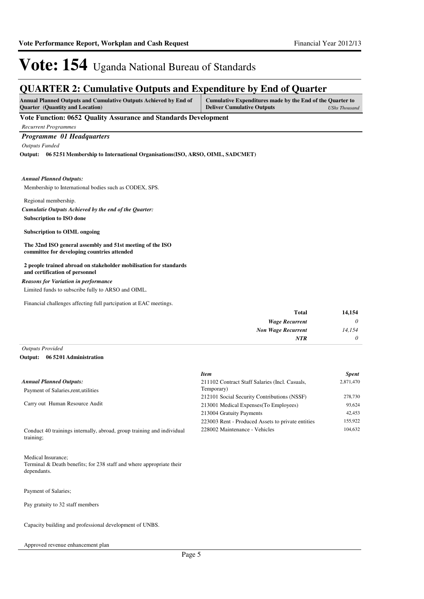## **QUARTER 2: Cumulative Outputs and Expenditure by End of Quarter**

| <b>Annual Planned Outputs and Cumulative Outputs Achieved by End of</b> | Cumulative Expenditures made by the End of the Quarter to |
|-------------------------------------------------------------------------|-----------------------------------------------------------|
| <b>Quarter</b> (Quantity and Location)                                  | <b>Deliver Cumulative Outputs</b><br>UShs Thousand        |

## **Vote Function: 0652 Quality Assurance and Standards Development**

*Recurrent Programmes*

## *Programme 01 Headquarters*

*Outputs Funded*

**06 5251 Membership to International Organisations(ISO, ARSO, OIML, SADCMET) Output:**

#### *Annual Planned Outputs:*

Membership to International bodies such as CODEX, SPS.

Regional membership.

## **Subscription to ISO done** *Cumulatie Outputs Achieved by the end of the Quarter:*

## **Subscription to OIML ongoing**

**The 32nd ISO general assembly and 51st meeting of the ISO committee for developing countries attended**

#### **2 people trained abroad on stakeholder mobilisation for standards and certification of personnel**

### *Reasons for Variation in performance*

Limited funds to subscribe fully to ARSO and OIML.

Financial challenges affecting full partcipation at EAC meetings.

| 14,154 | <b>Total</b>              |
|--------|---------------------------|
| 0      | <b>Wage Recurrent</b>     |
| 14,154 | <b>Non Wage Recurrent</b> |
| 0      | <b>NTR</b>                |
|        |                           |

## *Outputs Provided*

#### **06 5201 Administration Output:**

|                                                                                     | <b>Item</b>                                       | <b>Spent</b> |
|-------------------------------------------------------------------------------------|---------------------------------------------------|--------------|
| <b>Annual Planned Outputs:</b>                                                      | 211102 Contract Staff Salaries (Incl. Casuals,    | 2,871,470    |
| Payment of Salaries, rent, utilities                                                | Temporary)                                        |              |
|                                                                                     | 212101 Social Security Contributions (NSSF)       | 278,730      |
| Carry out Human Resource Audit                                                      | 213001 Medical Expenses (To Employees)            | 93.624       |
|                                                                                     | 213004 Gratuity Payments                          | 42,453       |
|                                                                                     | 223003 Rent - Produced Assets to private entities | 155,922      |
| Conduct 40 trainings internally, abroad, group training and individual<br>training; | 228002 Maintenance - Vehicles                     | 104,632      |

Medical Insurance; Terminal & Death benefits; for 238 staff and where appropriate their dependants.

Payment of Salaries;

Pay gratuity to 32 staff members

Capacity building and professional development of UNBS.

Approved revenue enhancement plan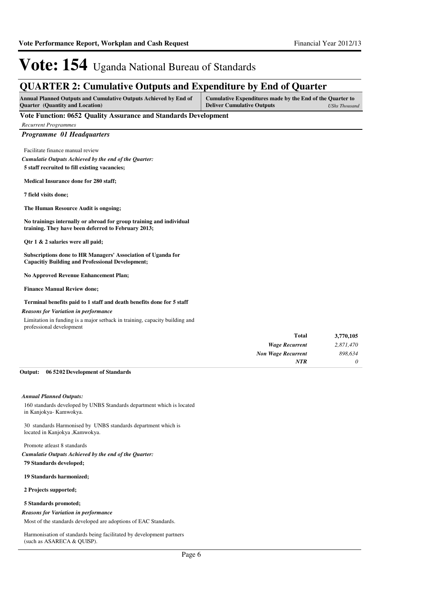## **QUARTER 2: Cumulative Outputs and Expenditure by End of Quarter**

| <b>Annual Planned Outputs and Cumulative Outputs Achieved by End of</b> | Cumulative Expenditures made by the End of the Quarter to |               |
|-------------------------------------------------------------------------|-----------------------------------------------------------|---------------|
| <b>Ouarter</b> (Quantity and Location)                                  | <b>Deliver Cumulative Outputs</b>                         | UShs Thousand |

## **Vote Function: 0652 Quality Assurance and Standards Development**

*Recurrent Programmes Programme 01 Headquarters* Facilitate finance manual review **5 staff recruited to fill existing vacancies; Medical Insurance done for 280 staff; 7 field visits done; The Human Resource Audit is ongoing; No trainings internally or abroad for group training and individual training. They have been deferred to February 2013; Qtr 1 & 2 salaries were all paid; Subscriptions done to HR Managers' Association of Uganda for Capacitiy Building and Professional Development; No Approved Revenue Enhancement Plan; Finance Manual Review done; Terminal benefits paid to 1 staff and death benefits done for 5 staff** *Wage Recurrent Non Wage Recurrent* **Total** *2,871,470 898,634 0* **3,770,105** *Cumulatie Outputs Achieved by the end of the Quarter: NTR* Limitation in funding is a major setback in training, capacity building and professional development *Reasons for Variation in performance*

### **06 5202 Development of Standards Output:**

#### *Annual Planned Outputs:*

160 standards developed by UNBS Standards department which is located in Kanjokya- Kamwokya.

30 standards Harmonised by UNBS standards department which is located in Kanjokya ,Kamwokya.

Promote atleast 8 standards **79 Standards developed;** *Cumulatie Outputs Achieved by the end of the Quarter:*

#### **19 Standards harmonized;**

**2 Projects supported;**

## **5 Standards promoted;**

#### *Reasons for Variation in performance*

Most of the standards developed are adoptions of EAC Standards.

Harmonisation of standards being facilitated by development partners (such as ASARECA & QUISP).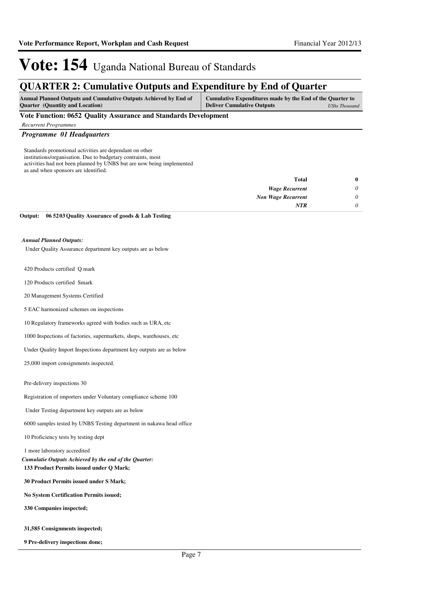## **QUARTER 2: Cumulative Outputs and Expenditure by End of Quarter**

| <b>Annual Planned Outputs and Cumulative Outputs Achieved by End of</b> | Cumulative Expenditures made by the End of the Quarter to |               |
|-------------------------------------------------------------------------|-----------------------------------------------------------|---------------|
| <b>Ouarter</b> (Quantity and Location)                                  | <b>Deliver Cumulative Outputs</b>                         | UShs Thousand |

**Vote Function: 0652 Quality Assurance and Standards Development**

*Recurrent Programmes*

## *Programme 01 Headquarters*

Standards promotional activities are dependant on other institutions/organisation. Due to budgetary contraints, most activities had not been planned by UNBS but are now being implemented as and when sponsors are identified.

| $\bf{0}$ | Total                     |
|----------|---------------------------|
| 0        | <b>Wage Recurrent</b>     |
| 0        | <b>Non Wage Recurrent</b> |
| 0        | <b>NTR</b>                |
|          |                           |

**06 5203 Quality Assurance of goods & Lab Testing Output:**

### *Annual Planned Outputs:*

Under Quality Assurance department key outputs are as below

420 Products certified Q mark

120 Products certified Smark

20 Management Systems Certified

5 EAC harmonized schemes on inspections

10 Regulatory frameworks agreed with bodies such as URA, etc

1000 Inspections of factories, supermarkets, shops, warehouses, etc

Under Quality Import Inspections department key outputs are as below

25,000 import consignments inspected.

Pre-delivery inspections 30

Registration of importers under Voluntary compliance scheme 100

Under Testing department key outputs are as below

6000 samples tested by UNBS Testing department in nakawa head office

10 Proficiency tests by testing dept

#### 1 more laboratory accredited

**133 Product Permits issued under Q Mark;** *Cumulatie Outputs Achieved by the end of the Quarter:*

**30 Product Permits issued under S Mark;**

**No System Certification Permits issued;**

**330 Companies inspected;**

**31,585 Consignments inspected;**

**9 Pre-delivery inspections done;**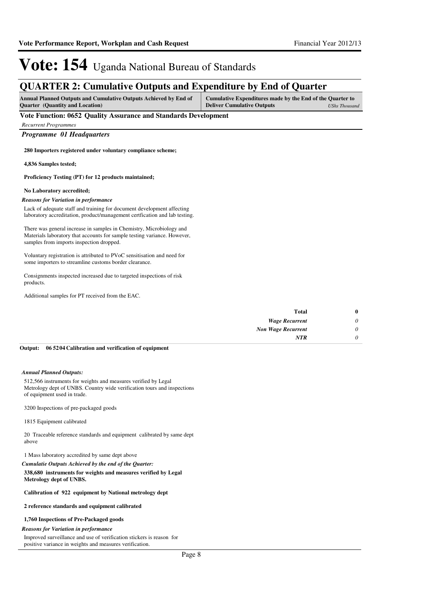## **QUARTER 2: Cumulative Outputs and Expenditure by End of Quarter**

| <b>Annual Planned Outputs and Cumulative Outputs Achieved by End of</b> | Cumulative Expenditures made by the End of the Quarter to |               |
|-------------------------------------------------------------------------|-----------------------------------------------------------|---------------|
| <b>Quarter</b> (Quantity and Location)                                  | <b>Deliver Cumulative Outputs</b>                         | UShs Thousand |

## **Vote Function: 0652 Quality Assurance and Standards Development**

| <b>Recurrent Programmes</b> |
|-----------------------------|
|                             |

*Programme 01 Headquarters*

**280 Importers registered under voluntary compliance scheme;**

**4,836 Samples tested;**

**Proficiency Testing (PT) for 12 products maintained;**

### **No Laboratory accredited;**

#### *Reasons for Variation in performance*

Lack of adequate staff and training for document development affecting laboratory accreditation, product/management certfication and lab testing.

There was general increase in samples in Chemistry, Microbiology and Materials laboratory that accounts for sample testing variance. However, samples from imports inspection dropped.

Voluntary registration is attributed to PVoC sensitisation and need for some importers to streamline customs border clearance.

Consignments inspected increased due to targeted inspections of risk products.

Additional samples for PT received from the EAC.

| $\bf{0}$ | <b>Total</b>              |
|----------|---------------------------|
| $\theta$ | <b>Wage Recurrent</b>     |
| 0        | <b>Non Wage Recurrent</b> |
| $\theta$ | <b>NTR</b>                |
|          |                           |

#### **06 5204 Calibration and verification of equipment Output:**

#### *Annual Planned Outputs:*

512,566 instruments for weights and measures verified by Legal Metrology dept of UNBS. Country wide verification tours and inspections of equipment used in trade.

3200 Inspections of pre-packaged goods

### 1815 Equipment calibrated

20 Traceable reference standards and equipment calibrated by same dept above

1 Mass laboratory accredited by same dept above

## **338,680 instruments for weights and measures verified by Legal**  *Cumulatie Outputs Achieved by the end of the Quarter:*

## **Metrology dept of UNBS.**

## **Calibration of 922 equipment by National metrology dept**

#### **2 reference standards and equipment calibrated**

### **1,760 Inspections of Pre-Packaged goods**

### *Reasons for Variation in performance*

Improved surveillance and use of verification stickers is reason for positive variance in weights and measures verification.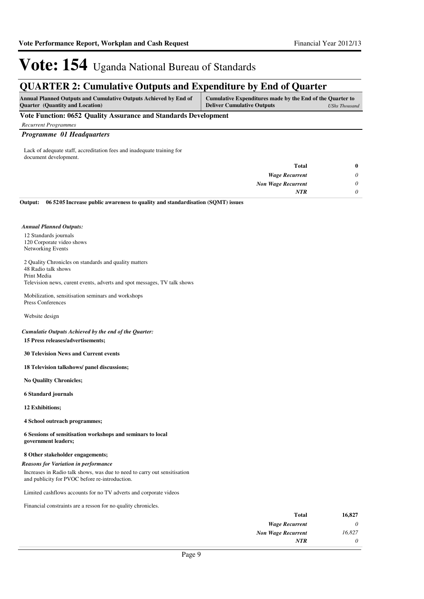## **QUARTER 2: Cumulative Outputs and Expenditure by End of Quarter**

| <b>Annual Planned Outputs and Cumulative Outputs Achieved by End of</b> | Cumulative Expenditures made by the End of the Quarter to |               |
|-------------------------------------------------------------------------|-----------------------------------------------------------|---------------|
| <b>Ouarter</b> (Quantity and Location)                                  | <b>Deliver Cumulative Outputs</b>                         | UShs Thousand |

## **Vote Function: 0652 Quality Assurance and Standards Development**

*Recurrent Programmes*

## *Programme 01 Headquarters*

Lack of adequate staff, accreditation fees and inadequate training for document development.

|   | <b>Total</b>              |
|---|---------------------------|
| 0 | <b>Wage Recurrent</b>     |
| 0 | <b>Non Wage Recurrent</b> |
|   | <b>NTR</b>                |
|   |                           |

**06 5205 Increase public awareness to quality and standardisation (SQMT) issues Output:**

### *Annual Planned Outputs:*

12 Standards journals 120 Corporate video shows Networking Events

2 Quality Chronicles on standards and quality matters 48 Radio talk shows Print Media Television news, curent events, adverts and spot messages, TV talk shows

Mobilization, sensitisation seminars and workshops Press Conferences

Website design

## *Cumulatie Outputs Achieved by the end of the Quarter:*

## **15 Press releases/advertisements;**

**30 Television News and Current events**

**18 Television talkshows/ panel discussions;**

**No Qualilty Chronicles;**

## **6 Standard journals**

**12 Exhibitions;**

**4 School outreach programmes;**

**6 Sessions of sensitisation workshops and seminars to local government leaders;**

### **8 Other stakeholder engagements;**

### *Reasons for Variation in performance*

Increases in Radio talk shows, was due to need to carry out sensitisation and publicity for PVOC before re-introduction.

Limited cashflows accounts for no TV adverts and corporate videos

Financial constraints are a resson for no quality chronicles.

| 16,827 | Total                     |
|--------|---------------------------|
|        | <b>Wage Recurrent</b>     |
| 16,827 | <b>Non Wage Recurrent</b> |
| 0      | <b>NTR</b>                |
|        |                           |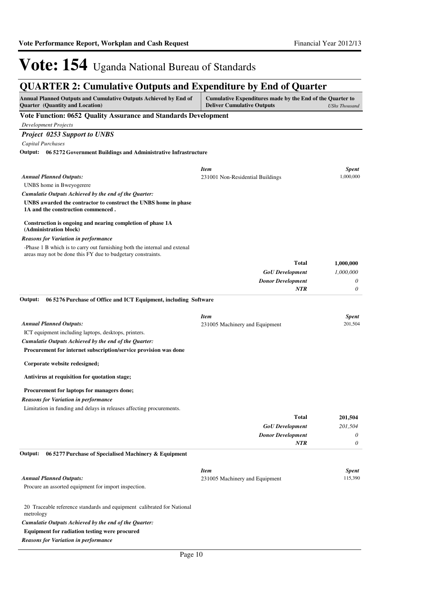# **QUARTER 2: Cumulative Outputs and Expenditure by End of Quarter**

| Annual Planned Outputs and Cumulative Outputs Achieved by End of<br>Quarter (Quantity and Location)                                      | Cumulative Expenditures made by the End of the Quarter to<br><b>Deliver Cumulative Outputs</b> | <b>UShs Thousand</b> |
|------------------------------------------------------------------------------------------------------------------------------------------|------------------------------------------------------------------------------------------------|----------------------|
| Vote Function: 0652 Quality Assurance and Standards Development                                                                          |                                                                                                |                      |
| <b>Development Projects</b>                                                                                                              |                                                                                                |                      |
| <b>Project 0253 Support to UNBS</b>                                                                                                      |                                                                                                |                      |
| Capital Purchases                                                                                                                        |                                                                                                |                      |
| Output: 06 5272 Government Buildings and Administrative Infrastructure                                                                   |                                                                                                |                      |
|                                                                                                                                          |                                                                                                |                      |
|                                                                                                                                          | <b>Item</b>                                                                                    | <b>Spent</b>         |
| <b>Annual Planned Outputs:</b>                                                                                                           | 231001 Non-Residential Buildings                                                               | 1,000,000            |
| UNBS home in Bweyogerere                                                                                                                 |                                                                                                |                      |
| Cumulatie Outputs Achieved by the end of the Quarter:                                                                                    |                                                                                                |                      |
| UNBS awarded the contractor to construct the UNBS home in phase<br>1A and the construction commenced.                                    |                                                                                                |                      |
| Construction is ongoing and nearing completion of phase 1A<br>(Administration block)                                                     |                                                                                                |                      |
| <b>Reasons for Variation in performance</b>                                                                                              |                                                                                                |                      |
| -Phase 1 B which is to carry out furnishing both the internal and extenal<br>areas may not be done this FY due to budgetary constraints. |                                                                                                |                      |
|                                                                                                                                          | <b>Total</b>                                                                                   | 1,000,000            |
|                                                                                                                                          | <b>GoU</b> Development                                                                         | 1,000,000            |
|                                                                                                                                          | <b>Donor Development</b>                                                                       | 0                    |
|                                                                                                                                          | NTR                                                                                            | 0                    |
| 06 5276 Purchase of Office and ICT Equipment, including Software<br>Output:                                                              |                                                                                                |                      |
|                                                                                                                                          | <b>Item</b>                                                                                    | <b>Spent</b>         |
| <b>Annual Planned Outputs:</b>                                                                                                           | 231005 Machinery and Equipment                                                                 | 201,504              |
| ICT equipment including laptops, desktops, printers.                                                                                     |                                                                                                |                      |
| Cumulatie Outputs Achieved by the end of the Quarter:                                                                                    |                                                                                                |                      |
| Procurement for internet subscription/service provision was done                                                                         |                                                                                                |                      |
| Corporate website redesigned;                                                                                                            |                                                                                                |                      |
| Antivirus at requisition for quotation stage;                                                                                            |                                                                                                |                      |
| Procurement for laptops for managers done;                                                                                               |                                                                                                |                      |
| <b>Reasons for Variation in performance</b>                                                                                              |                                                                                                |                      |
| Limitation in funding and delays in releases affecting procurements.                                                                     |                                                                                                |                      |
|                                                                                                                                          | Total                                                                                          | 201,504              |
|                                                                                                                                          | <b>GoU</b> Development                                                                         | 201,504              |
|                                                                                                                                          | <b>Donor Development</b>                                                                       | 0                    |
|                                                                                                                                          | NTR                                                                                            | 0                    |
| Output:<br>06 5277 Purchase of Specialised Machinery & Equipment                                                                         |                                                                                                |                      |
|                                                                                                                                          | <b>Item</b>                                                                                    | <b>Spent</b>         |
| <b>Annual Planned Outputs:</b>                                                                                                           | 231005 Machinery and Equipment                                                                 | 115,390              |
| Procure an assorted equipment for import inspection.                                                                                     |                                                                                                |                      |
| 20 Traceable reference standards and equipment calibrated for National<br>metrology                                                      |                                                                                                |                      |
| Cumulatie Outputs Achieved by the end of the Quarter:                                                                                    |                                                                                                |                      |
| <b>Equipment for radiation testing were procured</b>                                                                                     |                                                                                                |                      |
| <b>Reasons for Variation in performance</b>                                                                                              |                                                                                                |                      |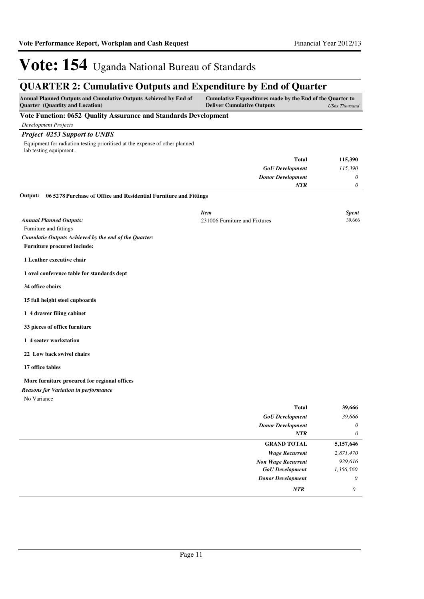## **QUARTER 2: Cumulative Outputs and Expenditure by End of Quarter**

| Annual Planned Outputs and Cumulative Outputs Achieved by End of<br>Quarter (Quantity and Location)  | Cumulative Expenditures made by the End of the Quarter to<br><b>Deliver Cumulative Outputs</b><br><b>UShs Thousand</b> |                 |
|------------------------------------------------------------------------------------------------------|------------------------------------------------------------------------------------------------------------------------|-----------------|
| Vote Function: 0652 Quality Assurance and Standards Development                                      |                                                                                                                        |                 |
| <b>Development Projects</b>                                                                          |                                                                                                                        |                 |
| <b>Project 0253 Support to UNBS</b>                                                                  |                                                                                                                        |                 |
| Equipment for radiation testing prioritised at the expense of other planned<br>lab testing equipment |                                                                                                                        |                 |
|                                                                                                      | <b>Total</b>                                                                                                           | 115,390         |
|                                                                                                      | <b>GoU</b> Development                                                                                                 | 115,390         |
|                                                                                                      | <b>Donor Development</b>                                                                                               | 0               |
|                                                                                                      | NTR                                                                                                                    | 0               |
| 06 5278 Purchase of Office and Residential Furniture and Fittings<br>Output:                         |                                                                                                                        |                 |
|                                                                                                      | <b>Item</b>                                                                                                            |                 |
| <b>Annual Planned Outputs:</b>                                                                       | 231006 Furniture and Fixtures                                                                                          | Spent<br>39,666 |
| Furniture and fittings                                                                               |                                                                                                                        |                 |
| Cumulatie Outputs Achieved by the end of the Quarter:                                                |                                                                                                                        |                 |
| <b>Furniture procured include:</b>                                                                   |                                                                                                                        |                 |
| 1 Leather executive chair                                                                            |                                                                                                                        |                 |
| 1 oval conference table for standards dept                                                           |                                                                                                                        |                 |
| 34 office chairs                                                                                     |                                                                                                                        |                 |
| 15 full height steel cupboards                                                                       |                                                                                                                        |                 |
| 1 4 drawer filing cabinet                                                                            |                                                                                                                        |                 |
| 33 pieces of office furniture                                                                        |                                                                                                                        |                 |
| 1 4 seater workstation                                                                               |                                                                                                                        |                 |
| 22 Low back swivel chairs                                                                            |                                                                                                                        |                 |
| 17 office tables                                                                                     |                                                                                                                        |                 |
| More furniture procured for regional offices                                                         |                                                                                                                        |                 |
| <b>Reasons for Variation in performance</b>                                                          |                                                                                                                        |                 |
| No Variance                                                                                          |                                                                                                                        |                 |
|                                                                                                      | Total                                                                                                                  | 39,666          |
|                                                                                                      | <b>GoU</b> Development                                                                                                 | 39,666          |
|                                                                                                      | <b>Donor Development</b><br><b>NTR</b>                                                                                 | 0<br>$\theta$   |
|                                                                                                      | <b>GRAND TOTAL</b>                                                                                                     | 5,157,646       |
|                                                                                                      | <b>Wage Recurrent</b>                                                                                                  | 2,871,470       |
|                                                                                                      | <b>Non Wage Recurrent</b>                                                                                              | 929,616         |
|                                                                                                      | <b>GoU</b> Development                                                                                                 | 1,356,560       |
|                                                                                                      | <b>Donor Development</b>                                                                                               | 0               |
|                                                                                                      | NTR                                                                                                                    | 0               |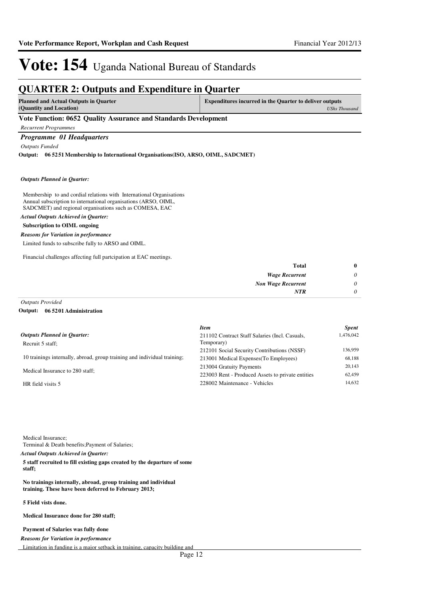## **QUARTER 2: Outputs and Expenditure in Quarter Planned and Actual Outputs in Quarter (Quantity and Location) Expenditures incurred in the Quarter to deliver outputs**  *UShs Thousand* **Vote Function: 0652 Quality Assurance and Standards Development** *Recurrent Programmes Programme 01 Headquarters Outputs Funded* **06 5251 Membership to International Organisations(ISO, ARSO, OIML, SADCMET) Output:**

### *Outputs Planned in Quarter:*

Membership to and cordial relations with International Organisations Annual subscription to international organisations (ARSO, OIML, SADCMET) and regional organisations such as COMESA, EAC

*Actual Outputs Achieved in Quarter:*

## **Subscription to OIML ongoing**

*Reasons for Variation in performance*

Limited funds to subscribe fully to ARSO and OIML.

Financial challenges affecting full partcipation at EAC meetings.

| $\bf{0}$ | <b>Total</b>              |
|----------|---------------------------|
| 0        | <b>Wage Recurrent</b>     |
| 0        | <b>Non Wage Recurrent</b> |
|          | <b>NTR</b>                |
|          |                           |

*Outputs Provided*

#### **06 5201 Administration Output:**

|                                                                          | Item                                              | <b>Spent</b> |
|--------------------------------------------------------------------------|---------------------------------------------------|--------------|
| Outputs Planned in Ouarter:                                              | 211102 Contract Staff Salaries (Incl. Casuals,    | 1,476,042    |
| Recruit 5 staff;                                                         | Temporary)                                        |              |
|                                                                          | 212101 Social Security Contributions (NSSF)       | 136,959      |
| 10 trainings internally, abroad, group training and individual training; | 213001 Medical Expenses (To Employees)            | 68.188       |
| Medical Insurance to 280 staff;                                          | 213004 Gratuity Payments                          | 20,143       |
|                                                                          | 223003 Rent - Produced Assets to private entities | 62,459       |
| HR field visits 5                                                        | 228002 Maintenance - Vehicles                     | 14.632       |
|                                                                          |                                                   |              |

Medical Insurance;

Terminal & Death benefits;Payment of Salaries; *Actual Outputs Achieved in Quarter:*

**5 staff recruited to fill existing gaps created by the departure of some staff;** 

**No trainings internally, abroad, group training and individual training. These have been deferred to February 2013;**

### **5 Field vists done.**

**Medical Insurance done for 280 staff;**

#### **Payment of Salaries was fully done**

*Reasons for Variation in performance*

Limitation in funding is a major setback in training, capacity building and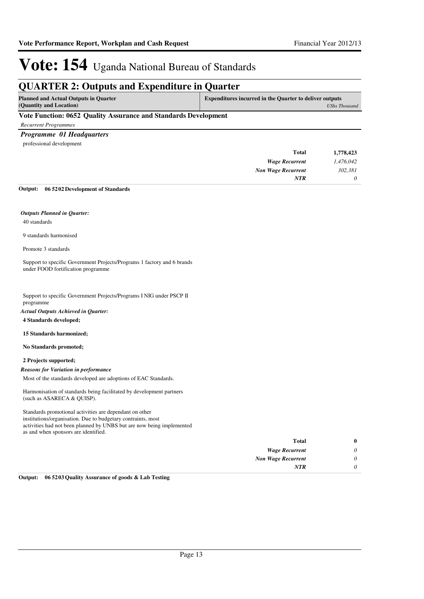## **QUARTER 2: Outputs and Expenditure in Quarter**

| <b>Planned and Actual Outputs in Quarter</b> | Expenditures incurred in the Quarter to deliver outputs |
|----------------------------------------------|---------------------------------------------------------|
| (Quantity and Location)                      | UShs Thousand                                           |
|                                              |                                                         |

## **Vote Function: 0652 Quality Assurance and Standards Development**

*Recurrent Programmes*

## *Programme 01 Headquarters*

professional development

| 1,778,423 | Total                     |
|-----------|---------------------------|
| 1,476,042 | <b>Wage Recurrent</b>     |
| 302,381   | <b>Non Wage Recurrent</b> |
| $\theta$  | <b>NTR</b>                |
|           |                           |

**06 5202 Development of Standards Output:**

## *Outputs Planned in Quarter:*

40 standards

9 standards harmonised

Promote 3 standards

Support to specific Government Projects/Programs 1 factory and 6 brands under FOOD fortification programme

Support to specific Government Projects/Programs I NIG under PSCP II programme

*Actual Outputs Achieved in Quarter:*

**4 Standards developed;**

**15 Standards harmonized;**

**No Standards promoted;**

## **2 Projects supported;**

*Reasons for Variation in performance*

Most of the standards developed are adoptions of EAC Standards.

Harmonisation of standards being facilitated by development partners (such as ASARECA & QUISP).

Standards promotional activities are dependant on other institutions/organisation. Due to budgetary contraints, most activities had not been planned by UNBS but are now being implemented as and when sponsors are identified.

| $\bf{0}$ | Total                     |
|----------|---------------------------|
| 0        | <b>Wage Recurrent</b>     |
| 0        | <b>Non Wage Recurrent</b> |
| 0        | <b>NTR</b>                |

**Output: 06 5203 Quality Assurance of goods & Lab Testing**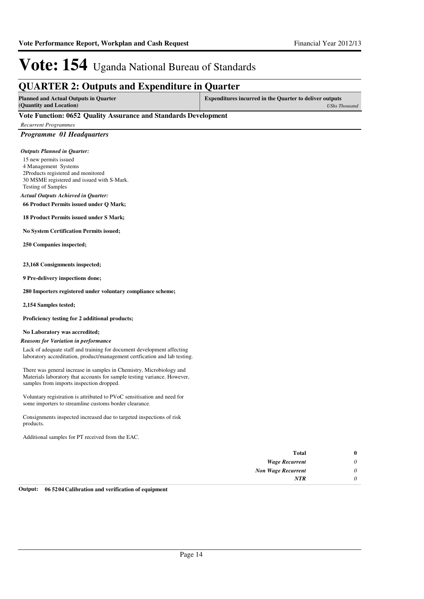*UShs Thousand*

# Vote: 154 Uganda National Bureau of Standards

## **QUARTER 2: Outputs and Expenditure in Quarter**

**Planned and Actual Outputs in Quarter (Quantity and Location) Expenditures incurred in the Quarter to deliver outputs** 

## **Vote Function: 0652 Quality Assurance and Standards Development**

*Recurrent Programmes*

## *Programme 01 Headquarters*

### *Outputs Planned in Quarter:*

- 15 new permits issued
- 4 Management Systems
- 2Products registered and monitored 30 MSME registered and issued with S-Mark.
- Testing of Samples

## *Actual Outputs Achieved in Quarter:*

**66 Product Permits issued under Q Mark;**

**18 Product Permits issued under S Mark;**

**No System Certification Permits issued;**

**250 Companies inspected;**

### **23,168 Consignments inspected;**

**9 Pre-delivery inspections done;**

**280 Importers registered under voluntary compliance scheme;**

**2,154 Samples tested;**

**Proficiency testing for 2 additional products;**

### **No Laboratory was accredited;**

### *Reasons for Variation in performance*

Lack of adequate staff and training for document development affecting laboratory accreditation, product/management certfication and lab testing.

There was general increase in samples in Chemistry, Microbiology and Materials laboratory that accounts for sample testing variance. However, samples from imports inspection dropped.

Voluntary registration is attributed to PVoC sensitisation and need for some importers to streamline customs border clearance.

Consignments inspected increased due to targeted inspections of risk products.

Additional samples for PT received from the EAC.

| <b>Total</b>              |
|---------------------------|
| <b>Wage Recurrent</b>     |
| <b>Non Wage Recurrent</b> |
| <b>NTR</b>                |
|                           |

#### **Output: 06 5204 Calibration and verification of equipment**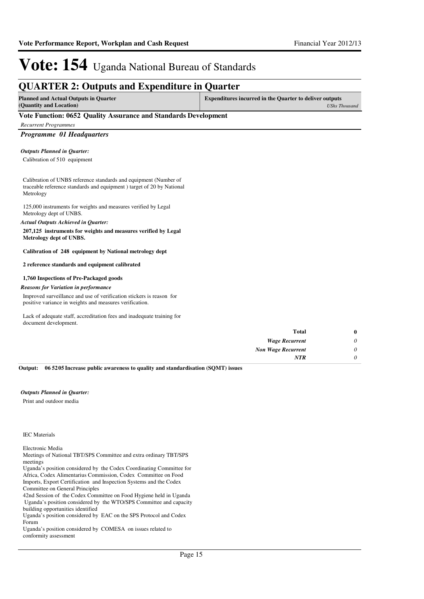## **QUARTER 2: Outputs and Expenditure in Quarter**

| <b>Planned and Actual Outputs in Quarter</b> | <b>Expenditures incurred in the Quarter to deliver outputs</b> |  |  |
|----------------------------------------------|----------------------------------------------------------------|--|--|
| (Quantity and Location)                      | UShs Thousand                                                  |  |  |

## **Vote Function: 0652 Quality Assurance and Standards Development**

*Recurrent Programmes*

*Programme 01 Headquarters*

### *Outputs Planned in Quarter:*

Calibration of 510 equipment

Calibration of UNBS reference standards and equipment (Number of traceable reference standards and equipment ) target of 20 by National Metrology

125,000 instruments for weights and measures verified by Legal Metrology dept of UNBS.

### *Actual Outputs Achieved in Quarter:*

**207,125 instruments for weights and measures verified by Legal Metrology dept of UNBS.**

**Calibration of 248 equipment by National metrology dept**

### **2 reference standards and equipment calibrated**

## **1,760 Inspections of Pre-Packaged goods**

### *Reasons for Variation in performance*

Improved surveillance and use of verification stickers is reason for positive variance in weights and measures verification.

Lack of adequate staff, accreditation fees and inadequate training for document development.

| $\bf{0}$ | Total                     |
|----------|---------------------------|
| 0        | <b>Wage Recurrent</b>     |
| 0        | <b>Non Wage Recurrent</b> |
| $\theta$ | <b>NTR</b>                |
|          |                           |

**06 5205 Increase public awareness to quality and standardisation (SQMT) issues Output:**

### *Outputs Planned in Quarter:*

Print and outdoor media

## IEC Materials

#### Electronic Media

Meetings of National TBT/SPS Committee and extra ordinary TBT/SPS meetings

Uganda's position considered by the Codex Coordinating Committee for Africa, Codex Alimentarius Commission, Codex Committee on Food Imports, Export Certification and Inspection Systems and the Codex Committee on General Principles

42nd Session of the Codex Committee on Food Hygiene held in Uganda Uganda's position considered by the WTO/SPS Committee and capacity

building opportunities identified Uganda's position considered by EAC on the SPS Protocol and Codex Forum

Uganda's position considered by COMESA on issues related to conformity assessment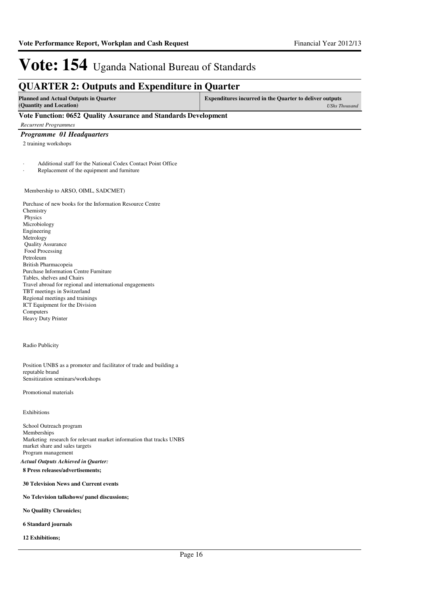## **QUARTER 2: Outputs and Expenditure in Quarter**

| <b>Planned and Actual Outputs in Quarter</b> | <b>Expenditures incurred in the Quarter to deliver outputs</b> |  |  |
|----------------------------------------------|----------------------------------------------------------------|--|--|
| (Quantity and Location)                      | UShs Thousand                                                  |  |  |

## **Vote Function: 0652 Quality Assurance and Standards Development**

*Recurrent Programmes*

## *Programme 01 Headquarters*

2 training workshops

Additional staff for the National Codex Contact Point Office

Replacement of the equipment and furniture

## Membership to ARSO, OIML, SADCMET)

Purchase of new books for the Information Resource Centre Chemistry Physics Microbiology Engineering Metrology Quality Assurance Food Processing Petroleum British Pharmacopeia Purchase Information Centre Furniture Tables, shelves and Chairs Travel abroad for regional and international engagements TBT meetings in Switzerland Regional meetings and trainings ICT Equipment for the Division Computers Heavy Duty Printer

### Radio Publicity

Position UNBS as a promoter and facilitator of trade and building a reputable brand Sensitization seminars/workshops

### Promotional materials

Exhibitions

School Outreach program Memberships Marketing research for relevant market information that tracks UNBS market share and sales targets Program management *Actual Outputs Achieved in Quarter:*

## **8 Press releases/advertisements;**

**30 Television News and Current events**

### **No Television talkshows/ panel discussions;**

**No Qualilty Chronicles;**

### **6 Standard journals**

**12 Exhibitions;**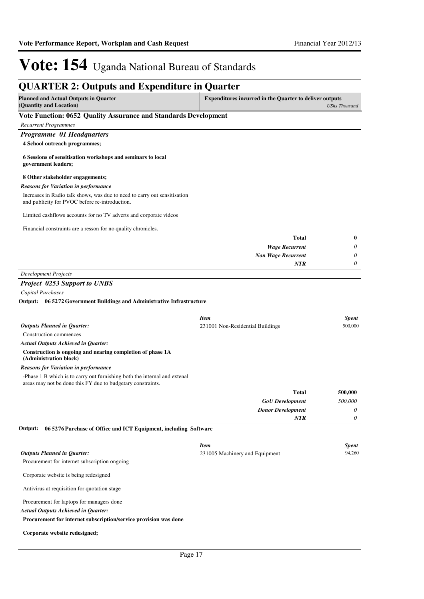| <b>QUARTER 2: Outputs and Expenditure in Quarter</b>                                                                                                                                                                                        |                                                                |                         |
|---------------------------------------------------------------------------------------------------------------------------------------------------------------------------------------------------------------------------------------------|----------------------------------------------------------------|-------------------------|
| <b>Planned and Actual Outputs in Quarter</b><br>(Quantity and Location)                                                                                                                                                                     | <b>Expenditures incurred in the Quarter to deliver outputs</b> | <b>UShs Thousand</b>    |
| Vote Function: 0652 Quality Assurance and Standards Development                                                                                                                                                                             |                                                                |                         |
| <b>Recurrent Programmes</b>                                                                                                                                                                                                                 |                                                                |                         |
| <b>Programme 01 Headquarters</b>                                                                                                                                                                                                            |                                                                |                         |
| 4 School outreach programmes;                                                                                                                                                                                                               |                                                                |                         |
| 6 Sessions of sensitisation workshops and seminars to local<br>government leaders;                                                                                                                                                          |                                                                |                         |
| 8 Other stakeholder engagements;                                                                                                                                                                                                            |                                                                |                         |
| <b>Reasons for Variation in performance</b>                                                                                                                                                                                                 |                                                                |                         |
| Increases in Radio talk shows, was due to need to carry out sensitisation<br>and publicity for PVOC before re-introduction.                                                                                                                 |                                                                |                         |
| Limited cashflows accounts for no TV adverts and corporate videos                                                                                                                                                                           |                                                                |                         |
| Financial constraints are a resson for no quality chronicles.                                                                                                                                                                               |                                                                |                         |
|                                                                                                                                                                                                                                             | <b>Total</b>                                                   | 0                       |
|                                                                                                                                                                                                                                             | <b>Wage Recurrent</b>                                          | 0                       |
|                                                                                                                                                                                                                                             | <b>Non Wage Recurrent</b>                                      | 0                       |
|                                                                                                                                                                                                                                             | NTR                                                            | 0                       |
| <b>Development Projects</b>                                                                                                                                                                                                                 |                                                                |                         |
| Output: 06 5272 Government Buildings and Administrative Infrastructure<br><b>Outputs Planned in Quarter:</b><br>Construction commences<br>Actual Outputs Achieved in Quarter:<br>Construction is ongoing and nearing completion of phase 1A | <b>Item</b><br>231001 Non-Residential Buildings                | <b>Spent</b><br>500,000 |
| (Administration block)                                                                                                                                                                                                                      |                                                                |                         |
| Reasons for Variation in performance                                                                                                                                                                                                        |                                                                |                         |
| -Phase 1 B which is to carry out furnishing both the internal and extenal<br>areas may not be done this FY due to budgetary constraints.                                                                                                    |                                                                |                         |
|                                                                                                                                                                                                                                             | <b>Total</b>                                                   | 500,000                 |
|                                                                                                                                                                                                                                             | <b>GoU</b> Development                                         | 500,000                 |
|                                                                                                                                                                                                                                             | <b>Donor Development</b>                                       | 0                       |
|                                                                                                                                                                                                                                             | <b>NTR</b>                                                     | 0                       |
| 06 5276 Purchase of Office and ICT Equipment, including Software<br>Output:                                                                                                                                                                 |                                                                |                         |
|                                                                                                                                                                                                                                             | <b>Item</b>                                                    | <b>Spent</b>            |
| <b>Outputs Planned in Quarter:</b>                                                                                                                                                                                                          | 231005 Machinery and Equipment                                 | 94,260                  |
| Procurement for internet subscription ongoing                                                                                                                                                                                               |                                                                |                         |
| Corporate website is being redesigned                                                                                                                                                                                                       |                                                                |                         |
| Antivirus at requisition for quotation stage                                                                                                                                                                                                |                                                                |                         |
| Procurement for laptops for managers done                                                                                                                                                                                                   |                                                                |                         |
| <b>Actual Outputs Achieved in Quarter:</b>                                                                                                                                                                                                  |                                                                |                         |
| Procurement for internet subscription/service provision was done                                                                                                                                                                            |                                                                |                         |

## **Corporate website redesigned;**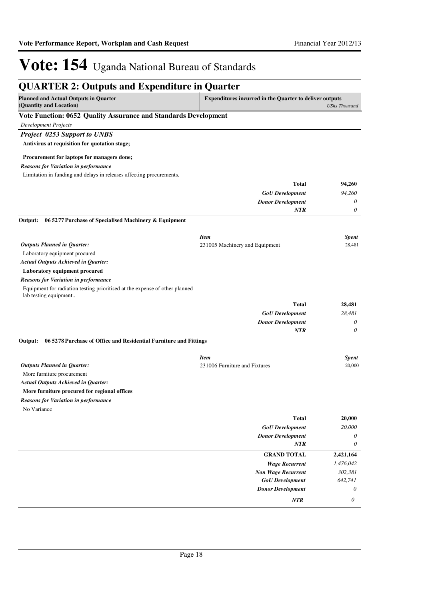| <b>QUARTER 2: Outputs and Expenditure in Quarter</b>                                                 |                                                                |                           |
|------------------------------------------------------------------------------------------------------|----------------------------------------------------------------|---------------------------|
| <b>Planned and Actual Outputs in Quarter</b><br>(Quantity and Location)                              | <b>Expenditures incurred in the Quarter to deliver outputs</b> | <b>UShs Thousand</b>      |
| Vote Function: 0652 Quality Assurance and Standards Development                                      |                                                                |                           |
| <b>Development Projects</b>                                                                          |                                                                |                           |
| <b>Project 0253 Support to UNBS</b>                                                                  |                                                                |                           |
| Antivirus at requisition for quotation stage;                                                        |                                                                |                           |
| Procurement for laptops for managers done;                                                           |                                                                |                           |
| <b>Reasons for Variation in performance</b>                                                          |                                                                |                           |
| Limitation in funding and delays in releases affecting procurements.                                 |                                                                |                           |
|                                                                                                      | <b>Total</b>                                                   | 94,260                    |
|                                                                                                      | <b>GoU</b> Development                                         | 94,260                    |
|                                                                                                      | <b>Donor Development</b>                                       | 0                         |
|                                                                                                      | <b>NTR</b>                                                     | 0                         |
| 06 5277 Purchase of Specialised Machinery & Equipment<br>Output:                                     |                                                                |                           |
|                                                                                                      | <b>Item</b>                                                    | <b>Spent</b>              |
| <b>Outputs Planned in Quarter:</b>                                                                   | 231005 Machinery and Equipment                                 | 28,481                    |
| Laboratory equipment procured                                                                        |                                                                |                           |
| <b>Actual Outputs Achieved in Quarter:</b>                                                           |                                                                |                           |
| Laboratory equipment procured                                                                        |                                                                |                           |
| <b>Reasons for Variation in performance</b>                                                          |                                                                |                           |
| Equipment for radiation testing prioritised at the expense of other planned<br>lab testing equipment |                                                                |                           |
|                                                                                                      | <b>Total</b>                                                   | 28,481                    |
|                                                                                                      | <b>GoU</b> Development                                         | 28,481                    |
|                                                                                                      | <b>Donor Development</b>                                       | 0                         |
|                                                                                                      | NTR                                                            | 0                         |
| 06 5278 Purchase of Office and Residential Furniture and Fittings<br>Output:                         |                                                                |                           |
|                                                                                                      | <b>Item</b>                                                    | Spent                     |
| <b>Outputs Planned in Quarter:</b>                                                                   | 231006 Furniture and Fixtures                                  | 20,000                    |
| More furniture procurement                                                                           |                                                                |                           |
| <b>Actual Outputs Achieved in Quarter:</b>                                                           |                                                                |                           |
| More furniture procured for regional offices                                                         |                                                                |                           |
| <b>Reasons for Variation in performance</b>                                                          |                                                                |                           |
| No Variance                                                                                          |                                                                |                           |
|                                                                                                      | <b>Total</b>                                                   | 20,000                    |
|                                                                                                      | <b>GoU</b> Development                                         | 20,000                    |
|                                                                                                      | <b>Donor Development</b>                                       | 0                         |
|                                                                                                      | <b>NTR</b>                                                     | 0                         |
|                                                                                                      | <b>GRAND TOTAL</b>                                             | 2,421,164                 |
|                                                                                                      | <b>Wage Recurrent</b>                                          | 1,476,042                 |
|                                                                                                      | <b>Non Wage Recurrent</b>                                      | 302,381                   |
|                                                                                                      | <b>GoU</b> Development                                         | 642,741                   |
|                                                                                                      | <b>Donor Development</b>                                       | 0                         |
|                                                                                                      | NTR                                                            | $\boldsymbol{\mathit{0}}$ |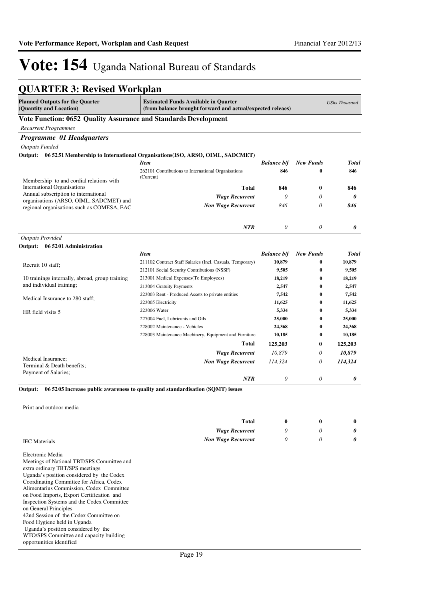# **QUARTER 3: Revised Workplan**

| <b>Planned Outputs for the Quarter</b><br>(Quantity and Location)                                                                                                                                                                                                                                                                                                                                                                                                                                                                                 | <b>Estimated Funds Available in Quarter</b><br>(from balance brought forward and actual/expected releaes) |                    |                  | <b>UShs Thousand</b> |
|---------------------------------------------------------------------------------------------------------------------------------------------------------------------------------------------------------------------------------------------------------------------------------------------------------------------------------------------------------------------------------------------------------------------------------------------------------------------------------------------------------------------------------------------------|-----------------------------------------------------------------------------------------------------------|--------------------|------------------|----------------------|
| Vote Function: 0652 Quality Assurance and Standards Development                                                                                                                                                                                                                                                                                                                                                                                                                                                                                   |                                                                                                           |                    |                  |                      |
| <b>Recurrent Programmes</b>                                                                                                                                                                                                                                                                                                                                                                                                                                                                                                                       |                                                                                                           |                    |                  |                      |
| Programme 01 Headquarters                                                                                                                                                                                                                                                                                                                                                                                                                                                                                                                         |                                                                                                           |                    |                  |                      |
| <b>Outputs Funded</b>                                                                                                                                                                                                                                                                                                                                                                                                                                                                                                                             |                                                                                                           |                    |                  |                      |
|                                                                                                                                                                                                                                                                                                                                                                                                                                                                                                                                                   | Output: 06 5251 Membership to International Organisations (ISO, ARSO, OIML, SADCMET)                      |                    |                  |                      |
|                                                                                                                                                                                                                                                                                                                                                                                                                                                                                                                                                   | <b>Item</b>                                                                                               | <b>Balance b/f</b> | <b>New Funds</b> | <b>Total</b>         |
|                                                                                                                                                                                                                                                                                                                                                                                                                                                                                                                                                   | 262101 Contributions to International Organisations<br>(Current)                                          | 846                | 0                | 846                  |
| Membership to and cordial relations with                                                                                                                                                                                                                                                                                                                                                                                                                                                                                                          |                                                                                                           |                    |                  |                      |
| International Organisations<br>Annual subscription to international                                                                                                                                                                                                                                                                                                                                                                                                                                                                               | <b>Total</b>                                                                                              | 846                | $\bf{0}$         | 846                  |
| organisations (ARSO, OIML, SADCMET) and                                                                                                                                                                                                                                                                                                                                                                                                                                                                                                           | <b>Wage Recurrent</b>                                                                                     | $\theta$           | 0                | 0                    |
| regional organisations such as COMESA, EAC                                                                                                                                                                                                                                                                                                                                                                                                                                                                                                        | <b>Non Wage Recurrent</b>                                                                                 | 846                | 0                | 846                  |
|                                                                                                                                                                                                                                                                                                                                                                                                                                                                                                                                                   | NTR                                                                                                       | 0                  | 0                | 0                    |
| <b>Outputs Provided</b>                                                                                                                                                                                                                                                                                                                                                                                                                                                                                                                           |                                                                                                           |                    |                  |                      |
| Output: 06 5201 Administration                                                                                                                                                                                                                                                                                                                                                                                                                                                                                                                    |                                                                                                           |                    |                  |                      |
|                                                                                                                                                                                                                                                                                                                                                                                                                                                                                                                                                   | <b>Item</b>                                                                                               | <b>Balance b/f</b> | <b>New Funds</b> | <b>Total</b>         |
| Recruit 10 staff;                                                                                                                                                                                                                                                                                                                                                                                                                                                                                                                                 | 211102 Contract Staff Salaries (Incl. Casuals, Temporary)                                                 | 10,879             | 0                | 10,879               |
|                                                                                                                                                                                                                                                                                                                                                                                                                                                                                                                                                   | 212101 Social Security Contributions (NSSF)                                                               | 9,505              | 0                | 9,505                |
| 10 trainings internally, abroad, group training<br>and individual training;                                                                                                                                                                                                                                                                                                                                                                                                                                                                       | 213001 Medical Expenses (To Employees)<br>213004 Gratuity Payments                                        | 18,219<br>2,547    | 0<br>0           | 18,219<br>2,547      |
|                                                                                                                                                                                                                                                                                                                                                                                                                                                                                                                                                   | 223003 Rent - Produced Assets to private entities                                                         | 7,542              | 0                | 7,542                |
| Medical Insurance to 280 staff;                                                                                                                                                                                                                                                                                                                                                                                                                                                                                                                   | 223005 Electricity                                                                                        | 11,625             | 0                | 11,625               |
| HR field visits 5                                                                                                                                                                                                                                                                                                                                                                                                                                                                                                                                 | 223006 Water                                                                                              | 5,334              | 0                | 5,334                |
|                                                                                                                                                                                                                                                                                                                                                                                                                                                                                                                                                   | 227004 Fuel, Lubricants and Oils                                                                          | 25,000             | 0                | 25,000               |
|                                                                                                                                                                                                                                                                                                                                                                                                                                                                                                                                                   | 228002 Maintenance - Vehicles                                                                             | 24,368             | 0                | 24,368               |
|                                                                                                                                                                                                                                                                                                                                                                                                                                                                                                                                                   | 228003 Maintenance Machinery, Equipment and Furniture                                                     | 10,185             | 0                | 10,185               |
|                                                                                                                                                                                                                                                                                                                                                                                                                                                                                                                                                   | Total                                                                                                     | 125,203            | 0                | 125,203              |
|                                                                                                                                                                                                                                                                                                                                                                                                                                                                                                                                                   | <b>Wage Recurrent</b>                                                                                     | 10,879             | 0                | 10,879               |
| Medical Insurance;                                                                                                                                                                                                                                                                                                                                                                                                                                                                                                                                | <b>Non Wage Recurrent</b>                                                                                 | 114,324            | 0                | 114,324              |
| Terminal & Death benefits;                                                                                                                                                                                                                                                                                                                                                                                                                                                                                                                        |                                                                                                           |                    |                  |                      |
| Payment of Salaries;                                                                                                                                                                                                                                                                                                                                                                                                                                                                                                                              | <b>NTR</b>                                                                                                | 0                  | 0                | 0                    |
| Output:                                                                                                                                                                                                                                                                                                                                                                                                                                                                                                                                           | 06 5205 Increase public awareness to quality and standardisation (SQMT) issues                            |                    |                  |                      |
| Print and outdoor media                                                                                                                                                                                                                                                                                                                                                                                                                                                                                                                           |                                                                                                           |                    |                  |                      |
|                                                                                                                                                                                                                                                                                                                                                                                                                                                                                                                                                   | Total                                                                                                     | $\bf{0}$           | 0                | $\bf{0}$             |
|                                                                                                                                                                                                                                                                                                                                                                                                                                                                                                                                                   | <b>Wage Recurrent</b>                                                                                     | 0                  | 0                | 0                    |
| <b>IEC</b> Materials                                                                                                                                                                                                                                                                                                                                                                                                                                                                                                                              | <b>Non Wage Recurrent</b>                                                                                 | 0                  | 0                | 0                    |
| Electronic Media<br>Meetings of National TBT/SPS Committee and<br>extra ordinary TBT/SPS meetings<br>Uganda's position considered by the Codex<br>Coordinating Committee for Africa, Codex<br>Alimentarius Commission, Codex Committee<br>on Food Imports, Export Certification and<br>Inspection Systems and the Codex Committee<br>on General Principles<br>42nd Session of the Codex Committee on<br>Food Hygiene held in Uganda<br>Uganda's position considered by the<br>WTO/SPS Committee and capacity building<br>opportunities identified |                                                                                                           |                    |                  |                      |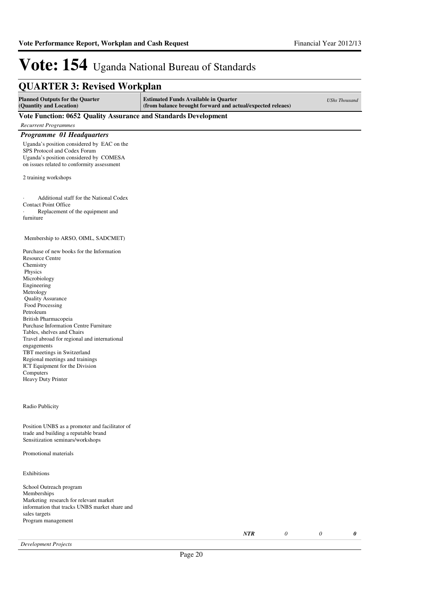| <b>QUARTER 3: Revised Workplan</b>                                                                                                                                 |                                                                                                           |                      |
|--------------------------------------------------------------------------------------------------------------------------------------------------------------------|-----------------------------------------------------------------------------------------------------------|----------------------|
| <b>Planned Outputs for the Quarter</b><br>(Quantity and Location)                                                                                                  | <b>Estimated Funds Available in Quarter</b><br>(from balance brought forward and actual/expected releaes) | <b>UShs Thousand</b> |
| Vote Function: 0652 Quality Assurance and Standards Development                                                                                                    |                                                                                                           |                      |
| <b>Recurrent Programmes</b>                                                                                                                                        |                                                                                                           |                      |
| Programme 01 Headquarters                                                                                                                                          |                                                                                                           |                      |
| Uganda's position considered by EAC on the<br>SPS Protocol and Codex Forum<br>Uganda's position considered by COMESA<br>on issues related to conformity assessment |                                                                                                           |                      |
| 2 training workshops                                                                                                                                               |                                                                                                           |                      |
| Additional staff for the National Codex<br><b>Contact Point Office</b><br>Replacement of the equipment and<br>furniture                                            |                                                                                                           |                      |
| Membership to ARSO, OIML, SADCMET)                                                                                                                                 |                                                                                                           |                      |
| Purchase of new books for the Information<br><b>Resource Centre</b><br>Chemistry<br>Physics<br>Microbiology<br>Engineering<br>Metrology                            |                                                                                                           |                      |

 Quality Assurance Food Processing Petroleum British Pharmacopeia Purchase Information Centre Furniture Tables, shelves and Chairs Travel abroad for regional and international engagements TBT meetings in Switzerland Regional meetings and trainings ICT Equipment for the Division Computers Heavy Duty Printer

Radio Publicity

Position UNBS as a promoter and facilitator of trade and building a reputable brand Sensitization seminars/workshops

## Promotional materials

Exhibitions

School Outreach program Memberships Marketing research for relevant market information that tracks UNBS market share and sales targets Program management

*NTR 0 0 0*

*Development Projects*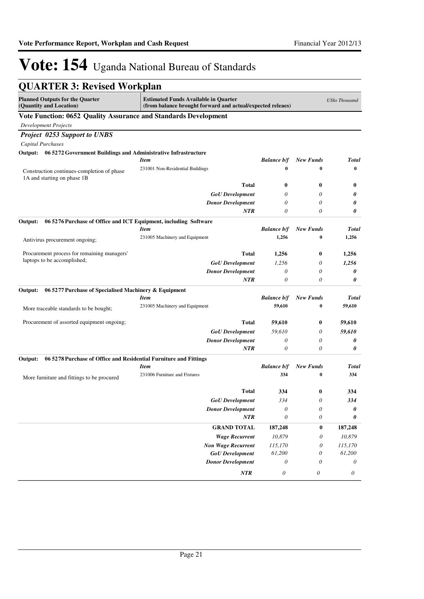| <b>QUARTER 3: Revised Workplan</b>                                           |                                                                                                           |                       |                       |              |
|------------------------------------------------------------------------------|-----------------------------------------------------------------------------------------------------------|-----------------------|-----------------------|--------------|
| <b>Planned Outputs for the Quarter</b><br>(Quantity and Location)            | <b>Estimated Funds Available in Quarter</b><br>(from balance brought forward and actual/expected releaes) |                       | <b>UShs Thousand</b>  |              |
| Vote Function: 0652 Quality Assurance and Standards Development              |                                                                                                           |                       |                       |              |
| <b>Development Projects</b>                                                  |                                                                                                           |                       |                       |              |
| <b>Project 0253 Support to UNBS</b>                                          |                                                                                                           |                       |                       |              |
| <b>Capital Purchases</b>                                                     |                                                                                                           |                       |                       |              |
| Output: 06 5272 Government Buildings and Administrative Infrastructure       |                                                                                                           |                       |                       |              |
|                                                                              | Item                                                                                                      | <b>Balance b/f</b>    | <b>New Funds</b>      | <b>Total</b> |
| Construction continues-completion of phase<br>1A and starting on phase 1B    | 231001 Non-Residential Buildings                                                                          | $\bf{0}$              | $\bf{0}$              | $\bf{0}$     |
|                                                                              | <b>Total</b>                                                                                              | $\bf{0}$              | 0                     | $\bf{0}$     |
|                                                                              | <b>GoU</b> Development                                                                                    | 0                     | 0                     | 0            |
|                                                                              | <b>Donor Development</b>                                                                                  | 0                     | 0                     | 0            |
|                                                                              | <b>NTR</b>                                                                                                | 0                     | 0                     | $\theta$     |
| Output:<br>06 5276 Purchase of Office and ICT Equipment, including Software  |                                                                                                           |                       |                       |              |
|                                                                              | Item                                                                                                      | <b>Balance b/f</b>    | <b>New Funds</b>      | <b>Total</b> |
| Antivirus procurement ongoing;                                               | 231005 Machinery and Equipment                                                                            | 1,256                 | $\bf{0}$              | 1,256        |
| Procurement process for remaining managers'                                  | <b>Total</b>                                                                                              | 1,256                 | $\bf{0}$              | 1,256        |
| laptops to be accomplished;                                                  | <b>GoU</b> Development                                                                                    | 1,256                 | 0                     | 1,256        |
|                                                                              | <b>Donor Development</b>                                                                                  | 0                     | 0                     | 0            |
|                                                                              | <b>NTR</b>                                                                                                | $\theta$              | 0                     | 0            |
| Output:<br>06 5277 Purchase of Specialised Machinery & Equipment             |                                                                                                           |                       |                       |              |
|                                                                              | <b>Item</b>                                                                                               | <b>Balance b/f</b>    | <b>New Funds</b>      | <b>Total</b> |
| More traceable standards to be bought;                                       | 231005 Machinery and Equipment                                                                            | 59,610                | $\bf{0}$              | 59,610       |
| Procurement of assorted equipment ongoing;                                   | <b>Total</b>                                                                                              | 59,610                | 0                     | 59,610       |
|                                                                              | <b>GoU</b> Development                                                                                    | 59,610                | 0                     | 59,610       |
|                                                                              | <b>Donor Development</b>                                                                                  | 0                     | 0                     | 0            |
|                                                                              | <b>NTR</b>                                                                                                | 0                     | 0                     | 0            |
| 06 5278 Purchase of Office and Residential Furniture and Fittings<br>Output: |                                                                                                           |                       |                       |              |
|                                                                              | <b>Item</b>                                                                                               | <b>Balance b/f</b>    | <b>New Funds</b>      | Total        |
| More furniture and fittings to be procured                                   | 231006 Furniture and Fixtures                                                                             | 334                   | $\bf{0}$              | 334          |
|                                                                              | Total                                                                                                     | 334                   | $\bf{0}$              | 334          |
|                                                                              | <b>GoU</b> Development                                                                                    | 334                   | 0                     | 334          |
|                                                                              | <b>Donor Development</b>                                                                                  | $\boldsymbol{\theta}$ | $\boldsymbol{\theta}$ | 0            |
|                                                                              | NTR                                                                                                       | $\boldsymbol{\theta}$ | $\boldsymbol{\theta}$ | 0            |
|                                                                              | <b>GRAND TOTAL</b>                                                                                        | 187,248               | 0                     | 187,248      |
|                                                                              | <b>Wage Recurrent</b>                                                                                     | 10,879                | 0                     | 10,879       |
|                                                                              | <b>Non Wage Recurrent</b>                                                                                 | 115,170               | 0                     | 115,170      |
|                                                                              | <b>GoU</b> Development                                                                                    | 61,200                | 0                     | 61,200       |
|                                                                              | <b>Donor Development</b>                                                                                  | $\theta$              | 0                     | 0            |
|                                                                              | NTR                                                                                                       | $\boldsymbol{\theta}$ | $\boldsymbol{\theta}$ | 0            |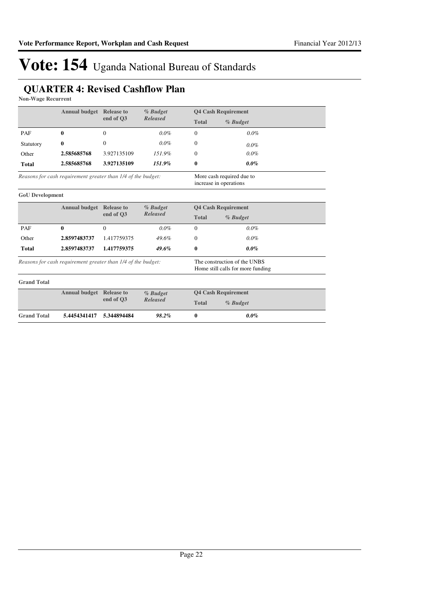## **QUARTER 4: Revised Cashflow Plan**

**Non-Wage Recurrent**

|                                                              | <b>Annual budget</b> Release to |             | % Budget                                                          | <b>Q4 Cash Requirement</b>                          |          |
|--------------------------------------------------------------|---------------------------------|-------------|-------------------------------------------------------------------|-----------------------------------------------------|----------|
|                                                              |                                 | end of O3   | <b>Released</b>                                                   | <b>Total</b>                                        | % Budget |
| PAF                                                          | 0                               | $\Omega$    | $0.0\%$                                                           | $\Omega$                                            | 0.0%     |
| Statutory                                                    | 0                               | $\Omega$    | $0.0\%$                                                           | $\Omega$                                            | $0.0\%$  |
| Other                                                        | 2.585685768                     | 3.927135109 | 151.9%                                                            | $\mathbf{0}$                                        | $0.0\%$  |
| <b>Total</b>                                                 | 2.585685768                     | 3.927135109 | 151.9%                                                            | $\bf{0}$                                            | $0.0\%$  |
| Reasons for cash requirement greater than 1/4 of the budget: |                                 |             |                                                                   | More cash required due to<br>increase in operations |          |
| <b>GoU</b> Development                                       |                                 |             |                                                                   |                                                     |          |
|                                                              | <b>Annual budget</b> Release to | end of O3   | % Budget<br><b>Released</b>                                       | <b>Q4 Cash Requirement</b>                          |          |
|                                                              |                                 |             |                                                                   | <b>Total</b>                                        | % Budget |
| PAF                                                          | 0                               | $\Omega$    | $0.0\%$                                                           | $\Omega$                                            | $0.0\%$  |
| Other                                                        | 2.8597483737                    | 1.417759375 | 49.6%                                                             | $\Omega$                                            | $0.0\%$  |
| <b>Total</b>                                                 | 2.8597483737                    | 1.417759375 | 49.6%                                                             | 0                                                   | $0.0\%$  |
| Reasons for cash requirement greater than 1/4 of the budget: |                                 |             | The construction of the UNBS<br>Home still calls for more funding |                                                     |          |
| <b>Grand Total</b>                                           |                                 |             |                                                                   |                                                     |          |
|                                                              | <b>Annual budget</b> Release to | end of O3   | % Budget<br><b>Released</b>                                       | <b>Q4 Cash Requirement</b>                          |          |
|                                                              |                                 |             |                                                                   | <b>Total</b>                                        | % Budget |
| <b>Grand Total</b>                                           | 5.4454341417                    | 5.344894484 | 98.2%                                                             | $\bf{0}$                                            | $0.0\%$  |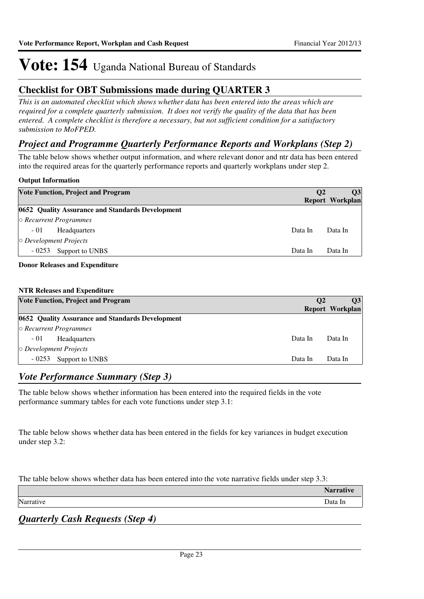## **Checklist for OBT Submissions made during QUARTER 3**

*This is an automated checklist which shows whether data has been entered into the areas which are required for a complete quarterly submission. It does not verify the quality of the data that has been entered. A complete checklist is therefore a necessary, but not sufficient condition for a satisfactory submission to MoFPED.*

## *Project and Programme Quarterly Performance Reports and Workplans (Step 2)*

The table below shows whether output information, and where relevant donor and ntr data has been entered into the required areas for the quarterly performance reports and quarterly workplans under step 2.

## **Output Information**

|                              | <b>Vote Function, Project and Program</b>        | <b>O2</b> | <b>O3</b><br>Report Workplan |
|------------------------------|--------------------------------------------------|-----------|------------------------------|
|                              | 0652 Quality Assurance and Standards Development |           |                              |
|                              | $\circ$ Recurrent Programmes                     |           |                              |
| $-01$                        | <b>Headquarters</b>                              | Data In   | Data In                      |
| $\circ$ Development Projects |                                                  |           |                              |
| $-0253$                      | Support to UNBS                                  | Data In   | Data In                      |
|                              |                                                  |           |                              |

## **Donor Releases and Expenditure**

## **NTR Releases and Expenditure**

| <b>Vote Function, Project and Program</b>        | $\mathbf{O}2$ | <b>O3</b><br><b>Report Workplan</b> |
|--------------------------------------------------|---------------|-------------------------------------|
| 0652 Quality Assurance and Standards Development |               |                                     |
| $\circ$ Recurrent Programmes                     |               |                                     |
| $-01$<br><b>Headquarters</b>                     | Data In       | Data In                             |
| $\circ$ Development Projects                     |               |                                     |
| $-0253$<br>Support to UNBS                       | Data In       | Data In                             |

## *Vote Performance Summary (Step 3)*

The table below shows whether information has been entered into the required fields in the vote performance summary tables for each vote functions under step 3.1:

The table below shows whether data has been entered in the fields for key variances in budget execution under step 3.2:

The table below shows whether data has been entered into the vote narrative fields under step 3.3:

|           | Norroy<br>rative |
|-----------|------------------|
| Narrative | Data In          |
|           |                  |

*Quarterly Cash Requests (Step 4)*